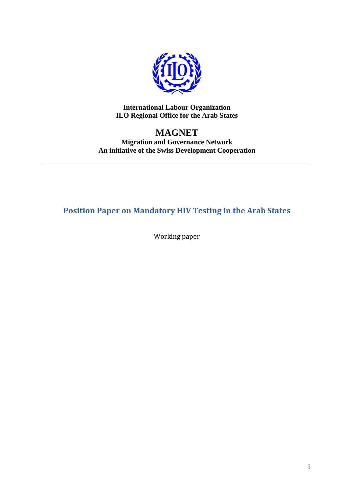

**International Labour Organization ILO Regional Office for the Arab States**

## **MAGNET**

**Migration and Governance Network An initiative of the Swiss Development Cooperation**

**Position Paper on Mandatory HIV Testing in the Arab States**

Working paper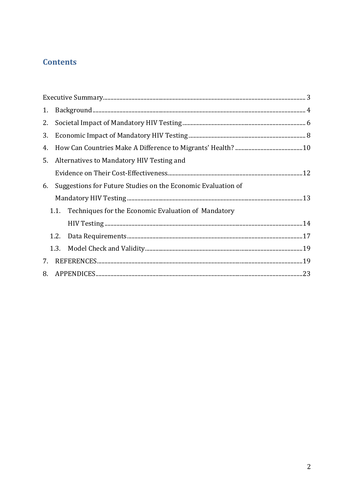## **Contents**

| 1. |                                                                                                                                                                                                                                                                                                                                                                                                                                                                                                                                                  |  |
|----|--------------------------------------------------------------------------------------------------------------------------------------------------------------------------------------------------------------------------------------------------------------------------------------------------------------------------------------------------------------------------------------------------------------------------------------------------------------------------------------------------------------------------------------------------|--|
| 2. |                                                                                                                                                                                                                                                                                                                                                                                                                                                                                                                                                  |  |
| 3. |                                                                                                                                                                                                                                                                                                                                                                                                                                                                                                                                                  |  |
| 4. |                                                                                                                                                                                                                                                                                                                                                                                                                                                                                                                                                  |  |
| 5. | Alternatives to Mandatory HIV Testing and                                                                                                                                                                                                                                                                                                                                                                                                                                                                                                        |  |
|    |                                                                                                                                                                                                                                                                                                                                                                                                                                                                                                                                                  |  |
| 6. | Suggestions for Future Studies on the Economic Evaluation of                                                                                                                                                                                                                                                                                                                                                                                                                                                                                     |  |
|    |                                                                                                                                                                                                                                                                                                                                                                                                                                                                                                                                                  |  |
|    | 1.1. Techniques for the Economic Evaluation of Mandatory                                                                                                                                                                                                                                                                                                                                                                                                                                                                                         |  |
|    | ${\hbox{HIV Testing}\xspace} \label{thm:main} \begin{minipage}[t]{0.9\linewidth} \textbf{HIV Testing}\xspace} \end{minipage} \begin{minipage}[t]{0.9\linewidth} \textbf{HIV Testing}\xspace} \end{minipage} \begin{minipage}[t]{0.9\linewidth} \textbf{HIV Testing}\xspace} \end{minipage} \begin{minipage}[t]{0.9\linewidth} \textbf{HIV Testing}\xspace} \end{minipage} \begin{minipage}[t]{0.9\linewidth} \textbf{HIV Testing}\xspace} \end{minipage} \begin{minipage}[t]{0.9\linewidth} \textbf{HIV Testing}\xspace} \end{minipage} \begin{$ |  |
|    |                                                                                                                                                                                                                                                                                                                                                                                                                                                                                                                                                  |  |
|    |                                                                                                                                                                                                                                                                                                                                                                                                                                                                                                                                                  |  |
| 7. |                                                                                                                                                                                                                                                                                                                                                                                                                                                                                                                                                  |  |
|    |                                                                                                                                                                                                                                                                                                                                                                                                                                                                                                                                                  |  |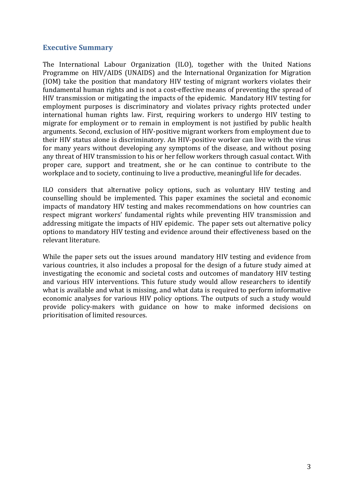### **Executive Summary**

The International Labour Organization (ILO), together with the United Nations Programme on HIV/AIDS (UNAIDS) and the International Organization for Migration (IOM) take the position that mandatory HIV testing of migrant workers violates their fundamental human rights and is not a cost-effective means of preventing the spread of HIV transmission or mitigating the impacts of the epidemic. Mandatory HIV testing for employment purposes is discriminatory and violates privacy rights protected under international human rights law. First, requiring workers to undergo HIV testing to migrate for employment or to remain in employment is not justified by public health arguments. Second, exclusion of HIV-positive migrant workers from employment due to their HIV status alone is discriminatory. An HIV-positive worker can live with the virus for many years without developing any symptoms of the disease, and without posing any threat of HIV transmission to his or her fellow workers through casual contact. With proper care, support and treatment, she or he can continue to contribute to the workplace and to society, continuing to live a productive, meaningful life for decades.

ILO considers that alternative policy options, such as voluntary HIV testing and counselling should be implemented. This paper examines the societal and economic impacts of mandatory HIV testing and makes recommendations on how countries can respect migrant workers' fundamental rights while preventing HIV transmission and addressing mitigate the impacts of HIV epidemic. The paper sets out alternative policy options to mandatory HIV testing and evidence around their effectiveness based on the relevant literature.

While the paper sets out the issues around mandatory HIV testing and evidence from various countries, it also includes a proposal for the design of a future study aimed at investigating the economic and societal costs and outcomes of mandatory HIV testing and various HIV interventions. This future study would allow researchers to identify what is available and what is missing, and what data is required to perform informative economic analyses for various HIV policy options. The outputs of such a study would provide policy-makers with guidance on how to make informed decisions on prioritisation of limited resources.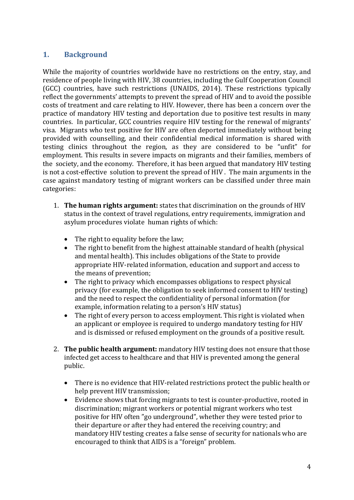## **1. Background**

While the majority of countries worldwide have no restrictions on the entry, stay, and residence of people living with HIV, 38 countries, including the Gulf Cooperation Council (GCC) countries, have such restrictions [\(UNAIDS, 2014\)](#page-21-0). These restrictions typically reflect the governments' attempts to prevent the spread of HIV and to avoid the possible costs of treatment and care relating to HIV. However, there has been a concern over the practice of mandatory HIV testing and deportation due to positive test results in many countries. In particular, GCC countries require HIV testing for the renewal of migrants' visa. Migrants who test positive for HIV are often deported immediately without being provided with counselling, and their confidential medical information is shared with testing clinics throughout the region, as they are considered to be "unfit" for employment. This results in severe impacts on migrants and their families, members of the society, and the economy. Therefore, it has been argued that mandatory HIV testing is not a cost-effective solution to prevent the spread of HIV . The main arguments in the case against mandatory testing of migrant workers can be classified under three main categories:

- 1. **The human rights argument:** states that discrimination on the grounds of HIV status in the context of travel regulations, entry requirements, immigration and asylum procedures violate human rights of which:
	- The right to equality before the law;
	- The right to benefit from the highest attainable standard of health (physical and mental health). This includes obligations of the State to provide appropriate HIV-related information, education and support and access to the means of prevention;
	- The right to privacy which encompasses obligations to respect physical privacy (for example, the obligation to seek informed consent to HIV testing) and the need to respect the confidentiality of personal information (for example, information relating to a person's HIV status)
	- The right of every person to access employment. This right is violated when an applicant or employee is required to undergo mandatory testing for HIV and is dismissed or refused employment on the grounds of a positive result.
- 2. **The public health argument:** mandatory HIV testing does not ensure that those infected get access to healthcare and that HIV is prevented among the general public.
	- There is no evidence that HIV-related restrictions protect the public health or help prevent HIV transmission;
	- Evidence shows that forcing migrants to test is counter-productive, rooted in discrimination; migrant workers or potential migrant workers who test positive for HIV often "go underground", whether they were tested prior to their departure or after they had entered the receiving country; and mandatory HIV testing creates a false sense of security for nationals who are encouraged to think that AIDS is a "foreign" problem.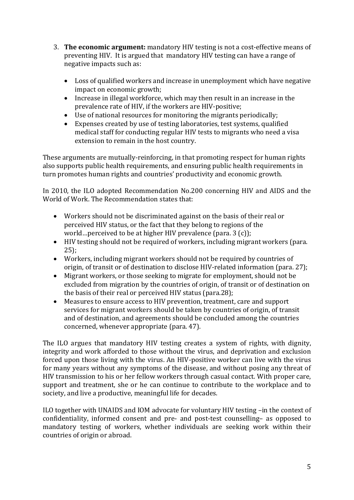- 3. **The economic argument:** mandatory HIV testing is not a cost-effective means of preventing HIV. It is argued that mandatory HIV testing can have a range of negative impacts such as:
	- Loss of qualified workers and increase in unemployment which have negative impact on economic growth;
	- Increase in illegal workforce, which may then result in an increase in the prevalence rate of HIV, if the workers are HIV-positive;
	- Use of national resources for monitoring the migrants periodically;
	- Expenses created by use of testing laboratories, test systems, qualified medical staff for conducting regular HIV tests to migrants who need a visa extension to remain in the host country.

These arguments are mutually-reinforcing, in that promoting respect for human rights also supports public health requirements, and ensuring public health requirements in turn promotes human rights and countries' productivity and economic growth.

In 2010, the ILO adopted Recommendation No.200 concerning HIV and AIDS and the World of Work. The Recommendation states that:

- Workers should not be discriminated against on the basis of their real or perceived HIV status, or the fact that they belong to regions of the world…perceived to be at higher HIV prevalence (para. 3 (c));
- HIV testing should not be required of workers, including migrant workers (para. 25);
- Workers, including migrant workers should not be required by countries of origin, of transit or of destination to disclose HIV-related information (para. 27);
- Migrant workers, or those seeking to migrate for employment, should not be excluded from migration by the countries of origin, of transit or of destination on the basis of their real or perceived HIV status (para.28);
- Measures to ensure access to HIV prevention, treatment, care and support services for migrant workers should be taken by countries of origin, of transit and of destination, and agreements should be concluded among the countries concerned, whenever appropriate (para. 47).

The ILO argues that mandatory HIV testing creates a system of rights, with dignity, integrity and work afforded to those without the virus, and deprivation and exclusion forced upon those living with the virus. An HIV-positive worker can live with the virus for many years without any symptoms of the disease, and without posing any threat of HIV transmission to his or her fellow workers through casual contact. With proper care, support and treatment, she or he can continue to contribute to the workplace and to society, and live a productive, meaningful life for decades.

ILO together with UNAIDS and IOM advocate for voluntary HIV testing –in the context of confidentiality, informed consent and pre- and post-test counselling– as opposed to mandatory testing of workers, whether individuals are seeking work within their countries of origin or abroad.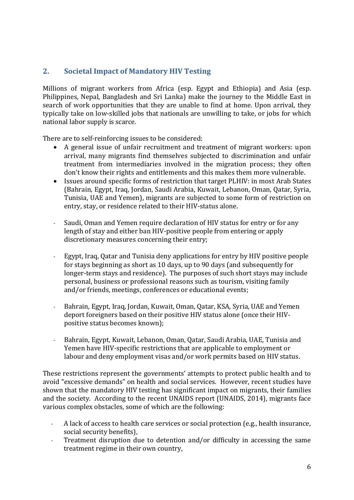## **2. Societal Impact of Mandatory HIV Testing**

Millions of migrant workers from Africa (esp. Egypt and Ethiopia) and Asia (esp. Philippines, Nepal, Bangladesh and Sri Lanka) make the journey to the Middle East in search of work opportunities that they are unable to find at home. Upon arrival, they typically take on low-skilled jobs that nationals are unwilling to take, or jobs for which national labor supply is scarce.

There are to self-reinforcing issues to be considered:

- A general issue of unfair recruitment and treatment of migrant workers: upon arrival, many migrants find themselves subjected to discrimination and unfair treatment from intermediaries involved in the migration process; they often don't know their rights and entitlements and this makes them more vulnerable.
- Issues around specific forms of restriction that target PLHIV: in most Arab States (Bahrain, Egypt, Iraq, Jordan, Saudi Arabia, Kuwait, Lebanon, Oman, Qatar, Syria, Tunisia, UAE and Yemen), migrants are subjected to some form of restriction on entry, stay, or residence related to their HIV-status alone.
- Saudi, Oman and Yemen require declaration of HIV status for entry or for any length of stay and either ban HIV-positive people from entering or apply discretionary measures concerning their entry;
- Egypt, Iraq, Qatar and Tunisia deny applications for entry by HIV positive people for stays beginning as short as 10 days, up to 90 days (and subsequently for longer-term stays and residence). The purposes of such short stays may include personal, business or professional reasons such as tourism, visiting family and/or friends, meetings, conferences or educational events;
- Bahrain, Egypt, Iraq, Jordan, Kuwait, Oman, Qatar, KSA, Syria, UAE and Yemen deport foreigners based on their positive HIV status alone (once their HIVpositive status becomes known);
- Bahrain, Egypt, Kuwait, Lebanon, Oman, Qatar, Saudi Arabia, UAE, Tunisia and Yemen have HIV-specific restrictions that are applicable to employment or labour and deny employment visas and/or work permits based on HIV status.

These restrictions represent the governments' attempts to protect public health and to avoid "excessive demands" on health and social services. However, recent studies have shown that the mandatory HIV testing has significant impact on migrants, their families and the society. According to the recent UNAIDS report (UNAIDS, 2014), migrants face various complex obstacles, some of which are the following:

- A lack of access to health care services or social protection (e.g., health insurance, social security benefits),
- Treatment disruption due to detention and/or difficulty in accessing the same treatment regime in their own country,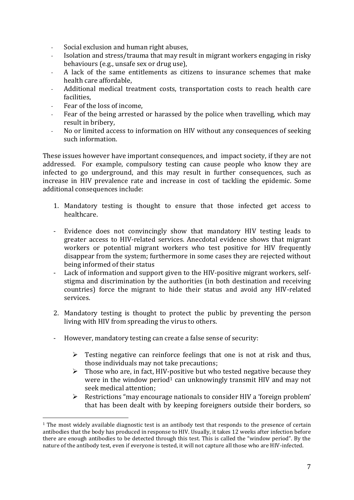- Social exclusion and human right abuses,
- Isolation and stress/trauma that may result in migrant workers engaging in risky behaviours (e.g., unsafe sex or drug use),
- A lack of the same entitlements as citizens to insurance schemes that make health care affordable,
- Additional medical treatment costs, transportation costs to reach health care facilities,
- Fear of the loss of income,

<u>.</u>

- Fear of the being arrested or harassed by the police when travelling, which may result in bribery,
- No or limited access to information on HIV without any consequences of seeking such information.

These issues however have important consequences, and impact society, if they are not addressed. For example, compulsory testing can cause people who know they are infected to go underground, and this may result in further consequences, such as increase in HIV prevalence rate and increase in cost of tackling the epidemic. Some additional consequences include:

- 1. Mandatory testing is thought to ensure that those infected get access to healthcare.
- Evidence does not convincingly show that mandatory HIV testing leads to greater access to HIV-related services. Anecdotal evidence shows that migrant workers or potential migrant workers who test positive for HIV frequently disappear from the system; furthermore in some cases they are rejected without being informed of their status
- Lack of information and support given to the HIV-positive migrant workers, selfstigma and discrimination by the authorities (in both destination and receiving countries) force the migrant to hide their status and avoid any HIV-related services.
- 2. Mandatory testing is thought to protect the public by preventing the person living with HIV from spreading the virus to others.
- However, mandatory testing can create a false sense of security:
	- $\triangleright$  Testing negative can reinforce feelings that one is not at risk and thus, those individuals may not take precautions;
	- $\triangleright$  Those who are, in fact, HIV-positive but who tested negative because they were in the window period<sup>1</sup> can unknowingly transmit HIV and may not seek medical attention;
	- $\triangleright$  Restrictions "may encourage nationals to consider HIV a 'foreign problem' that has been dealt with by keeping foreigners outside their borders, so

<sup>&</sup>lt;sup>1</sup> The most widely available diagnostic test is an antibody test that responds to the presence of certain antibodies that the body has produced in response to HIV. Usually, it takes 12 weeks after infection before there are enough antibodies to be detected through this test. This is called the "window period". By the nature of the antibody test, even if everyone is tested, it will not capture all those who are HIV-infected.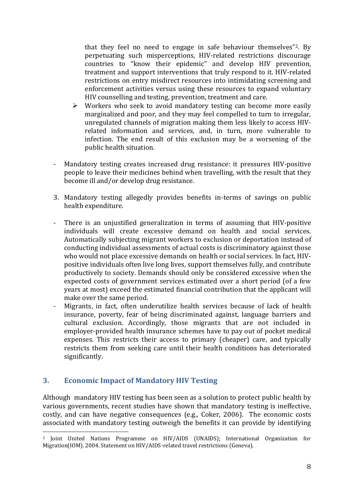that they feel no need to engage in safe behaviour themselves"2. By perpetuating such misperceptions, HIV-related restrictions discourage countries to "know their epidemic" and develop HIV prevention, treatment and support interventions that truly respond to it. HIV-related restrictions on entry misdirect resources into intimidating screening and enforcement activities versus using these resources to expand voluntary HIV counselling and testing, prevention, treatment and care.

- $\triangleright$  Workers who seek to avoid mandatory testing can become more easily marginalized and poor, and they may feel compelled to turn to irregular, unregulated channels of migration making them less likely to access HIVrelated information and services, and, in turn, more vulnerable to infection. The end result of this exclusion may be a worsening of the public health situation.
- Mandatory testing creates increased drug resistance: it pressures HIV-positive people to leave their medicines behind when travelling, with the result that they become ill and/or develop drug resistance.
- 3. Mandatory testing allegedly provides benefits in-terms of savings on public health expenditure.
- There is an unjustified generalization in terms of assuming that HIV-positive individuals will create excessive demand on health and social services. Automatically subjecting migrant workers to exclusion or deportation instead of conducting individual assessments of actual costs is discriminatory against those who would not place excessive demands on health or social services. In fact, HIVpositive individuals often live long lives, support themselves fully, and contribute productively to society. Demands should only be considered excessive when the expected costs of government services estimated over a short period (of a few years at most) exceed the estimated financial contribution that the applicant will make over the same period.
- Migrants, in fact, often underutilize health services because of lack of health insurance, poverty, fear of being discriminated against, language barriers and cultural exclusion. Accordingly, those migrants that are not included in employer-provided health insurance schemes have to pay out of pocket medical expenses. This restricts their access to primary (cheaper) care, and typically restricts them from seeking care until their health conditions has deteriorated significantly.

## **3. Economic Impact of Mandatory HIV Testing**

<u>.</u>

Although mandatory HIV testing has been seen as a solution to protect public health by various governments, recent studies have shown that mandatory testing is ineffective, costly, and can have negative consequences (e.g., [Coker, 2006\)](#page-19-0). The economic costs associated with mandatory testing outweigh the benefits it can provide by identifying

<sup>2</sup> Joint United Nations Programme on HIV/AIDS (UNAIDS); International Organization for Migration(IOM). 2004. Statement on HIV/AIDS-related travel restrictions (Geneva).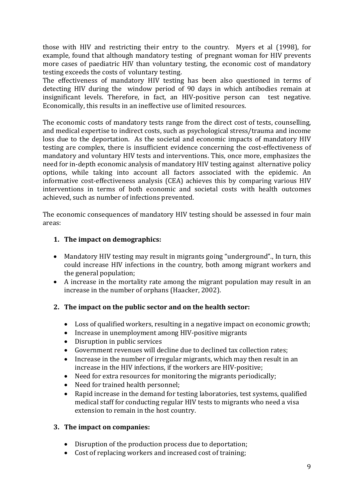those with HIV and restricting their entry to the country. Myers et al [\(1998\)](#page-20-0), for example, found that although mandatory testing of pregnant woman for HIV prevents more cases of paediatric HIV than voluntary testing, the economic cost of mandatory testing exceeds the costs of voluntary testing.

The effectiveness of mandatory HIV testing has been also questioned in terms of detecting HIV during the window period of 90 days in which antibodies remain at insignificant levels. Therefore, in fact, an HIV-positive person can test negative. Economically, this results in an ineffective use of limited resources.

The economic costs of mandatory tests range from the direct cost of tests, counselling, and medical expertise to indirect costs, such as psychological stress/trauma and income loss due to the deportation. As the societal and economic impacts of mandatory HIV testing are complex, there is insufficient evidence concerning the cost-effectiveness of mandatory and voluntary HIV tests and interventions. This, once more, emphasizes the need for in-depth economic analysis of mandatory HIV testing against alternative policy options, while taking into account all factors associated with the epidemic. An informative cost-effectiveness analysis (CEA) achieves this by comparing various HIV interventions in terms of both economic and societal costs with health outcomes achieved, such as number of infections prevented.

The economic consequences of mandatory HIV testing should be assessed in four main areas:

### **1. The impact on demographics:**

- Mandatory HIV testing may result in migrants going "underground"., In turn, this could increase HIV infections in the country, both among migrant workers and the general population;
- A increase in the mortality rate among the migrant population may result in an increase in the number of orphans [\(Haacker, 2002\)](#page-19-1).

#### **2. The impact on the public sector and on the health sector:**

- Loss of qualified workers, resulting in a negative impact on economic growth;
- Increase in unemployment among HIV-positive migrants
- Disruption in public services
- Government revenues will decline due to declined tax collection rates;
- Increase in the number of irregular migrants, which may then result in an increase in the HIV infections, if the workers are HIV-positive;
- Need for extra resources for monitoring the migrants periodically;
- Need for trained health personnel;
- Rapid increase in the demand for testing laboratories, test systems, qualified medical staff for conducting regular HIV tests to migrants who need a visa extension to remain in the host country.

#### **3. The impact on companies:**

- Disruption of the production process due to deportation;
- Cost of replacing workers and increased cost of training;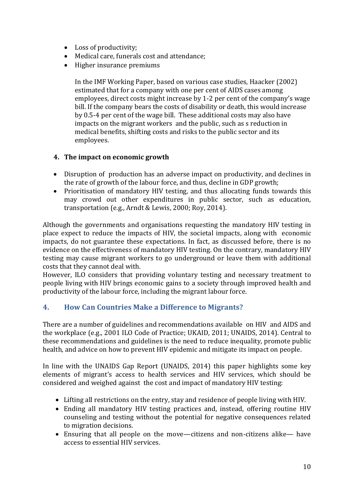- Loss of productivity;
- Medical care, funerals cost and attendance;
- Higher insurance premiums

In the IMF Working Paper, based on various case studies, Haacker (2002) estimated that for a company with one per cent of AIDS cases among employees, direct costs might increase by 1-2 per cent of the company's wage bill. If the company bears the costs of disability or death, this would increase by 0.5-4 per cent of the wage bill. These additional costs may also have impacts on the migrant workers and the public, such as s reduction in medical benefits, shifting costs and risks to the public sector and its employees.

### **4. The impact on economic growth**

- Disruption of production has an adverse impact on productivity, and declines in the rate of growth of the labour force, and thus, decline in GDP growth;
- Prioritisation of mandatory HIV testing, and thus allocating funds towards this may crowd out other expenditures in public sector, such as education, transportation (e.g., [Arndt & Lewis, 2000;](#page-18-0) [Roy, 2014\)](#page-20-1).

Although the governments and organisations requesting the mandatory HIV testing in place expect to reduce the impacts of HIV, the societal impacts, along with economic impacts, do not guarantee these expectations. In fact, as discussed before, there is no evidence on the effectiveness of mandatory HIV testing. On the contrary, mandatory HIV testing may cause migrant workers to go underground or leave them with additional costs that they cannot deal with.

However, ILO considers that providing voluntary testing and necessary treatment to people living with HIV brings economic gains to a society through improved health and productivity of the labour force, including the migrant labour force.

## **4. How Can Countries Make a Difference to Migrants?**

There are a number of guidelines and recommendations available on HIV and AIDS and the workplace (e.g., 2001 ILO Code of Practice; UKAID, 2011; UNAIDS, 2014). Central to these recommendations and guidelines is the need to reduce inequality, promote public health, and advice on how to prevent HIV epidemic and mitigate its impact on people.

In line with the UNAIDS Gap Report (UNAIDS, 2014) this paper highlights some key elements of migrant's access to health services and HIV services, which should be considered and weighed against the cost and impact of mandatory HIV testing:

- Lifting all restrictions on the entry, stay and residence of people living with HIV.
- Ending all mandatory HIV testing practices and, instead, offering routine HIV counseling and testing without the potential for negative consequences related to migration decisions.
- Ensuring that all people on the move—citizens and non-citizens alike— have access to essential HIV services.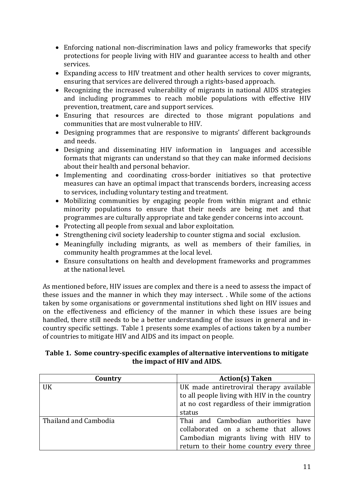- Enforcing national non-discrimination laws and policy frameworks that specify protections for people living with HIV and guarantee access to health and other services.
- Expanding access to HIV treatment and other health services to cover migrants, ensuring that services are delivered through a rights-based approach.
- Recognizing the increased vulnerability of migrants in national AIDS strategies and including programmes to reach mobile populations with effective HIV prevention, treatment, care and support services.
- Ensuring that resources are directed to those migrant populations and communities that are most vulnerable to HIV.
- Designing programmes that are responsive to migrants' different backgrounds and needs.
- Designing and disseminating HIV information in languages and accessible formats that migrants can understand so that they can make informed decisions about their health and personal behavior.
- Implementing and coordinating cross-border initiatives so that protective measures can have an optimal impact that transcends borders, increasing access to services, including voluntary testing and treatment.
- Mobilizing communities by engaging people from within migrant and ethnic minority populations to ensure that their needs are being met and that programmes are culturally appropriate and take gender concerns into account.
- Protecting all people from sexual and labor exploitation.
- Strengthening civil society leadership to counter stigma and social exclusion.
- Meaningfully including migrants, as well as members of their families, in community health programmes at the local level.
- Ensure consultations on health and development frameworks and programmes at the national level.

As mentioned before, HIV issues are complex and there is a need to assess the impact of these issues and the manner in which they may intersect. . While some of the actions taken by some organisations or governmental institutions shed light on HIV issues and on the effectiveness and efficiency of the manner in which these issues are being handled, there still needs to be a better understanding of the issues in general and incountry specific settings. Table 1 presents some examples of actions taken by a number of countries to mitigate HIV and AIDS and its impact on people.

### **Table 1. Some country-specific examples of alternative interventions to mitigate the impact of HIV and AIDS.**

| Country               | <b>Action(s) Taken</b>                       |
|-----------------------|----------------------------------------------|
| <b>UK</b>             | UK made antiretroviral therapy available     |
|                       | to all people living with HIV in the country |
|                       | at no cost regardless of their immigration   |
|                       | status                                       |
| Thailand and Cambodia | Thai and Cambodian authorities have          |
|                       | collaborated on a scheme that allows         |
|                       | Cambodian migrants living with HIV to        |
|                       | return to their home country every three     |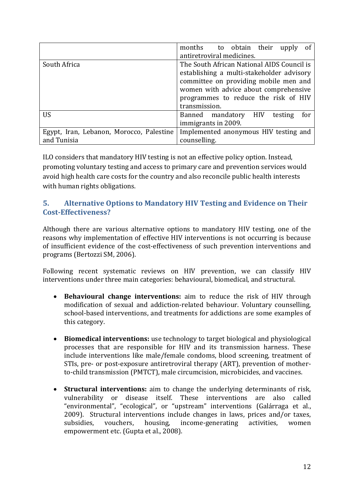|                                          | months to obtain their<br><sub>of</sub><br>upply |  |  |  |  |
|------------------------------------------|--------------------------------------------------|--|--|--|--|
|                                          | antiretroviral medicines.                        |  |  |  |  |
| South Africa                             | The South African National AIDS Council is       |  |  |  |  |
|                                          | establishing a multi-stakeholder advisory        |  |  |  |  |
|                                          | committee on providing mobile men and            |  |  |  |  |
|                                          | women with advice about comprehensive            |  |  |  |  |
|                                          | programmes to reduce the risk of HIV             |  |  |  |  |
|                                          | transmission.                                    |  |  |  |  |
| <b>US</b>                                | Banned mandatory HIV<br>for<br>testing           |  |  |  |  |
|                                          | immigrants in 2009.                              |  |  |  |  |
| Egypt, Iran, Lebanon, Morocco, Palestine | Implemented anonymous HIV testing and            |  |  |  |  |
| and Tunisia                              | counselling.                                     |  |  |  |  |

ILO considers that mandatory HIV testing is not an effective policy option. Instead, promoting voluntary testing and access to primary care and prevention services would avoid high health care costs for the country and also reconcile public health interests with human rights obligations.

## **5. Alternative Options to Mandatory HIV Testing and Evidence on Their Cost-Effectiveness?**

Although there are various alternative options to mandatory HIV testing, one of the reasons why implementation of effective HIV interventions is not occurring is because of insufficient evidence of the cost-effectiveness of such prevention interventions and programs [\(Bertozzi SM, 2006\)](#page-18-1).

Following recent systematic reviews on HIV prevention, we can classify HIV interventions under three main categories: behavioural, biomedical, and structural.

- **Behavioural change interventions:** aim to reduce the risk of HIV through modification of sexual and addiction-related behaviour. Voluntary counselling, school-based interventions, and treatments for addictions are some examples of this category.
- **Biomedical interventions:** use technology to target biological and physiological processes that are responsible for HIV and its transmission harness. These include interventions like male/female condoms, blood screening, treatment of STIs, pre- or post-exposure antiretroviral therapy (ART), prevention of motherto-child transmission (PMTCT), male circumcision, microbicides, and vaccines.
- **Structural interventions:** aim to change the underlying determinants of risk, vulnerability or disease itself. These interventions are also called "environmental", "ecological", or "upstream" interventions [\(Galárraga et al.,](#page-19-2)  2009). Structural interventions include changes in laws, prices and/or taxes, subsidies, vouchers, housing, income-generating activities, women empowerment etc. [\(Gupta et al., 2008\)](#page-19-3).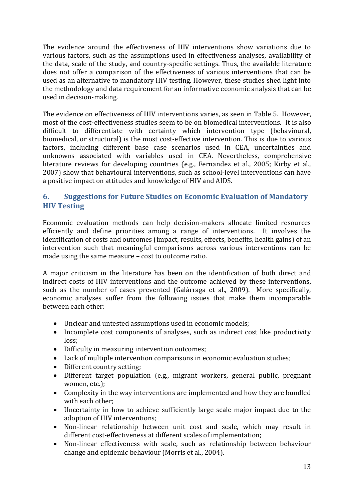The evidence around the effectiveness of HIV interventions show variations due to various factors, such as the assumptions used in effectiveness analyses, availability of the data, scale of the study, and country-specific settings. Thus, the available literature does not offer a comparison of the effectiveness of various interventions that can be used as an alternative to mandatory HIV testing. However, these studies shed light into the methodology and data requirement for an informative economic analysis that can be used in decision-making.

The evidence on effectiveness of HIV interventions varies, as seen in [Table 5.](#page-22-0) However, most of the cost-effectiveness studies seem to be on biomedical interventions. It is also difficult to differentiate with certainty which intervention type (behavioural, biomedical, or structural) is the most cost-effective intervention. This is due to various factors, including different base case scenarios used in CEA, uncertainties and unknowns associated with variables used in CEA. Nevertheless, comprehensive literature reviews for developing countries (e.g., [Fernandez et al., 2005;](#page-19-4) [Kirby et al.,](#page-20-2)  [2007\)](#page-20-2) show that behavioural interventions, such as school-level interventions can have a positive impact on attitudes and knowledge of HIV and AIDS.

## **6. Suggestions for Future Studies on Economic Evaluation of Mandatory HIV Testing**

Economic evaluation methods can help decision-makers allocate limited resources efficiently and define priorities among a range of interventions. It involves the identification of costs and outcomes (impact, results, effects, benefits, health gains) of an intervention such that meaningful comparisons across various interventions can be made using the same measure – cost to outcome ratio.

A major criticism in the literature has been on the identification of both direct and indirect costs of HIV interventions and the outcome achieved by these interventions, such as the number of cases prevented [\(Galárraga et al., 2009\)](#page-19-2). More specifically, economic analyses suffer from the following issues that make them incomparable between each other:

- Unclear and untested assumptions used in economic models;
- Incomplete cost components of analyses, such as indirect cost like productivity loss;
- Difficulty in measuring intervention outcomes;
- Lack of multiple intervention comparisons in economic evaluation studies;
- Different country setting;
- Different target population (e.g., migrant workers, general public, pregnant women, etc.);
- Complexity in the way interventions are implemented and how they are bundled with each other;
- Uncertainty in how to achieve sufficiently large scale major impact due to the adoption of HIV interventions;
- Non-linear relationship between unit cost and scale, which may result in different cost-effectiveness at different scales of implementation;
- Non-linear effectiveness with scale, such as relationship between behaviour change and epidemic behaviour (Morris et al., 2004).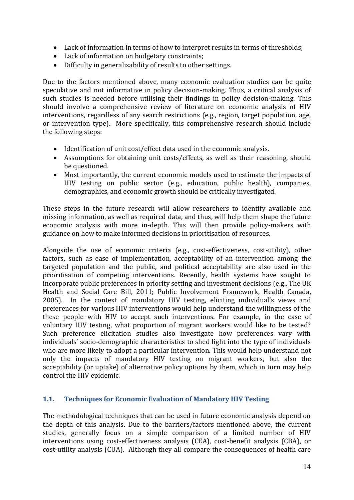- Lack of information in terms of how to interpret results in terms of thresholds;
- Lack of information on budgetary constraints;
- Difficulty in generalizability of results to other settings.

Due to the factors mentioned above, many economic evaluation studies can be quite speculative and not informative in policy decision-making. Thus, a critical analysis of such studies is needed before utilising their findings in policy decision-making. This should involve a comprehensive review of literature on economic analysis of HIV interventions, regardless of any search restrictions (e.g., region, target population, age, or intervention type). More specifically, this comprehensive research should include the following steps:

- Identification of unit cost/effect data used in the economic analysis.
- Assumptions for obtaining unit costs/effects, as well as their reasoning, should be questioned.
- Most importantly, the current economic models used to estimate the impacts of HIV testing on public sector (e.g., education, public health), companies, demographics, and economic growth should be critically investigated.

These steps in the future research will allow researchers to identify available and missing information, as well as required data, and thus, will help them shape the future economic analysis with more in-depth. This will then provide policy-makers with guidance on how to make informed decisions in prioritisation of resources.

Alongside the use of economic criteria (e.g., cost-effectiveness, cost-utility), other factors, such as ease of implementation, acceptability of an intervention among the targeted population and the public, and political acceptability are also used in the prioritisation of competing interventions. Recently, health systems have sought to incorporate public preferences in priority setting and investment decisions (e.g., The UK Health and Social Care Bill, [2011;](#page-20-3) Public Involvement Framework, Health Canada, [2005\)](#page-19-5). In the context of mandatory HIV testing, eliciting individual's views and preferences for various HIV interventions would help understand the willingness of the these people with HIV to accept such interventions. For example, in the case of voluntary HIV testing, what proportion of migrant workers would like to be tested? Such preference elicitation studies also investigate how preferences vary with individuals' socio-demographic characteristics to shed light into the type of individuals who are more likely to adopt a particular intervention. This would help understand not only the impacts of mandatory HIV testing on migrant workers, but also the acceptability (or uptake) of alternative policy options by them, which in turn may help control the HIV epidemic.

## **1.1. Techniques for Economic Evaluation of Mandatory HIV Testing**

The methodological techniques that can be used in future economic analysis depend on the depth of this analysis. Due to the barriers/factors mentioned above, the current studies, generally focus on a simple comparison of a limited number of HIV interventions using cost-effectiveness analysis (CEA), cost-benefit analysis (CBA), or cost-utility analysis (CUA). Although they all compare the consequences of health care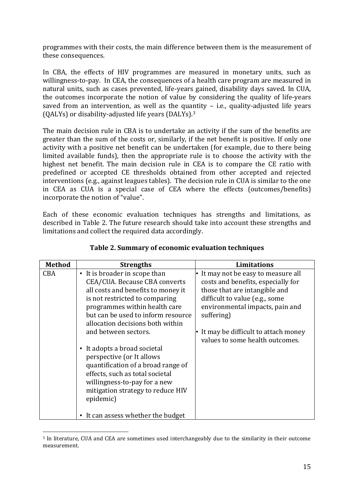programmes with their costs, the main difference between them is the measurement of these consequences.

In CBA, the effects of HIV programmes are measured in monetary units, such as willingness-to-pay. In CEA, the consequences of a health care program are measured in natural units, such as cases prevented, life-years gained, disability days saved. In CUA, the outcomes incorporate the notion of value by considering the quality of life-years saved from an intervention, as well as the quantity  $-$  i.e., quality-adjusted life years (QALYs) or disability-adjusted life years (DALYs). 3

The main decision rule in CBA is to undertake an activity if the sum of the benefits are greater than the sum of the costs or, similarly, if the net benefit is positive. If only one activity with a positive net benefit can be undertaken (for example, due to there being limited available funds), then the appropriate rule is to choose the activity with the highest net benefit. The main decision rule in CEA is to compare the CE ratio with predefined or accepted CE thresholds obtained from other accepted and rejected interventions (e.g., against leagues tables). The decision rule in CUA is similar to the one in CEA as CUA is a special case of CEA where the effects (outcomes/benefits) incorporate the notion of "value".

Each of these economic evaluation techniques has strengths and limitations, as described in [Table 2.](#page-14-0) The future research should take into account these strengths and limitations and collect the required data accordingly.

<span id="page-14-0"></span>

| <b>Method</b> | <b>Strengths</b>                                                                                                                                                                                                                                  | <b>Limitations</b>                                                                                                                                                                          |
|---------------|---------------------------------------------------------------------------------------------------------------------------------------------------------------------------------------------------------------------------------------------------|---------------------------------------------------------------------------------------------------------------------------------------------------------------------------------------------|
| <b>CBA</b>    | • It is broader in scope than<br>CEA/CUA. Because CBA converts<br>all costs and benefits to money it<br>is not restricted to comparing<br>programmes within health care<br>but can be used to inform resource<br>allocation decisions both within | It may not be easy to measure all<br>costs and benefits, especially for<br>those that are intangible and<br>difficult to value (e.g., some<br>environmental impacts, pain and<br>suffering) |
|               | and between sectors.<br>• It adopts a broad societal<br>perspective (or It allows<br>quantification of a broad range of<br>effects, such as total societal<br>willingness-to-pay for a new<br>mitigation strategy to reduce HIV<br>epidemic)      | It may be difficult to attach money<br>values to some health outcomes.                                                                                                                      |
|               | • It can assess whether the budget                                                                                                                                                                                                                |                                                                                                                                                                                             |

### **Table 2. Summary of economic evaluation techniques**

<u>.</u>

<sup>3</sup> In literature, CUA and CEA are sometimes used interchangeably due to the similarity in their outcome measurement.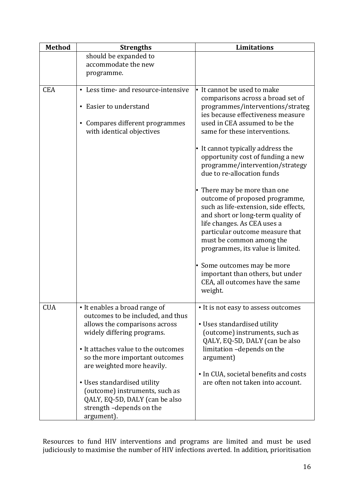| <b>Method</b> | <b>Strengths</b>                                                                                                              | <b>Limitations</b>                                                                                                                                                                                                                                                                                             |
|---------------|-------------------------------------------------------------------------------------------------------------------------------|----------------------------------------------------------------------------------------------------------------------------------------------------------------------------------------------------------------------------------------------------------------------------------------------------------------|
|               | should be expanded to                                                                                                         |                                                                                                                                                                                                                                                                                                                |
|               | accommodate the new<br>programme.                                                                                             |                                                                                                                                                                                                                                                                                                                |
|               |                                                                                                                               |                                                                                                                                                                                                                                                                                                                |
| <b>CEA</b>    | • Less time- and resource-intensive<br>• Easier to understand<br>• Compares different programmes<br>with identical objectives | $\cdot$ It cannot be used to make<br>comparisons across a broad set of<br>programmes/interventions/strateg<br>ies because effectiveness measure<br>used in CEA assumed to be the<br>same for these interventions.                                                                                              |
|               |                                                                                                                               | • It cannot typically address the<br>opportunity cost of funding a new<br>programme/intervention/strategy<br>due to re-allocation funds                                                                                                                                                                        |
|               |                                                                                                                               | • There may be more than one<br>outcome of proposed programme,<br>such as life-extension, side effects,<br>and short or long-term quality of<br>life changes. As CEA uses a<br>particular outcome measure that<br>must be common among the<br>programmes, its value is limited.<br>• Some outcomes may be more |
|               |                                                                                                                               | important than others, but under<br>CEA, all outcomes have the same<br>weight.                                                                                                                                                                                                                                 |
| <b>CUA</b>    | • It enables a broad range of                                                                                                 | • It is not easy to assess outcomes                                                                                                                                                                                                                                                                            |
|               | outcomes to be included, and thus<br>allows the comparisons across                                                            | • Uses standardised utility                                                                                                                                                                                                                                                                                    |
|               | widely differing programs.                                                                                                    | (outcome) instruments, such as                                                                                                                                                                                                                                                                                 |
|               |                                                                                                                               | QALY, EQ-5D, DALY (can be also                                                                                                                                                                                                                                                                                 |
|               | • It attaches value to the outcomes                                                                                           | limitation -depends on the                                                                                                                                                                                                                                                                                     |
|               | so the more important outcomes<br>are weighted more heavily.                                                                  | argument)                                                                                                                                                                                                                                                                                                      |
|               |                                                                                                                               | • In CUA, societal benefits and costs                                                                                                                                                                                                                                                                          |
|               | • Uses standardised utility                                                                                                   | are often not taken into account.                                                                                                                                                                                                                                                                              |
|               | (outcome) instruments, such as<br>QALY, EQ-5D, DALY (can be also<br>strength-depends on the                                   |                                                                                                                                                                                                                                                                                                                |
|               | argument).                                                                                                                    |                                                                                                                                                                                                                                                                                                                |

Resources to fund HIV interventions and programs are limited and must be used judiciously to maximise the number of HIV infections averted. In addition, prioritisation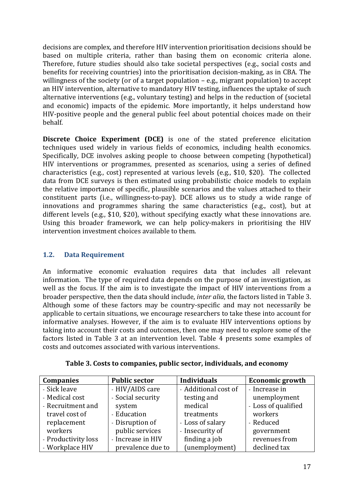decisions are complex, and therefore HIV intervention prioritisation decisions should be based on multiple criteria, rather than basing them on economic criteria alone. Therefore, future studies should also take societal perspectives (e.g., social costs and benefits for receiving countries) into the prioritisation decision-making, as in CBA. The willingness of the society (or of a target population – e.g., migrant population) to accept an HIV intervention, alternative to mandatory HIV testing, influences the uptake of such alternative interventions (e.g., voluntary testing) and helps in the reduction of (societal and economic) impacts of the epidemic. More importantly, it helps understand how HIV-positive people and the general public feel about potential choices made on their behalf.

**Discrete Choice Experiment (DCE)** is one of the stated preference elicitation techniques used widely in various fields of economics, including health economics. Specifically, DCE involves asking people to choose between competing (hypothetical) HIV interventions or programmes, presented as scenarios, using a series of defined characteristics (e.g., cost) represented at various levels (e.g., \$10, \$20). The collected data from DCE surveys is then estimated using probabilistic choice models to explain the relative importance of specific, plausible scenarios and the values attached to their constituent parts (i.e., willingness-to-pay). DCE allows us to study a wide range of innovations and programmes sharing the same characteristics (e.g., cost), but at different levels (e.g., \$10, \$20), without specifying exactly what these innovations are. Using this broader framework, we can help policy-makers in prioritising the HIV intervention investment choices available to them.

## **1.2. Data Requirement**

An informative economic evaluation requires data that includes all relevant information. The type of required data depends on the purpose of an investigation, as well as the focus. If the aim is to investigate the impact of HIV interventions from a broader perspective, then the data should include, *inter alia*, the factors listed in [Table 3.](#page-16-0) Although some of these factors may be country-specific and may not necessarily be applicable to certain situations, we encourage researchers to take these into account for informative analyses. However, if the aim is to evaluate HIV interventions options by taking into account their costs and outcomes, then one may need to explore some of the factors listed in [Table 3](#page-16-0) at an intervention level. [Table 4](#page-17-0) presents some examples of costs and outcomes associated with various interventions.

<span id="page-16-0"></span>

| <b>Companies</b>    | <b>Public sector</b> | <b>Individuals</b>   | <b>Economic growth</b> |
|---------------------|----------------------|----------------------|------------------------|
| - Sick leave        | - HIV/AIDS care      | - Additional cost of | - Increase in          |
| - Medical cost      | - Social security    | testing and          | unemployment           |
| - Recruitment and   | system               | medical              | - Loss of qualified    |
| travel cost of      | - Education          | treatments           | workers                |
| replacement         | - Disruption of      | - Loss of salary     | - Reduced              |
| workers             | public services      | - Insecurity of      | government             |
| - Productivity loss | - Increase in HIV    | finding a job        | revenues from          |
| - Workplace HIV     | prevalence due to    | (unemployment)       | declined tax           |

**Table 3. Costs to companies, public sector, individuals, and economy**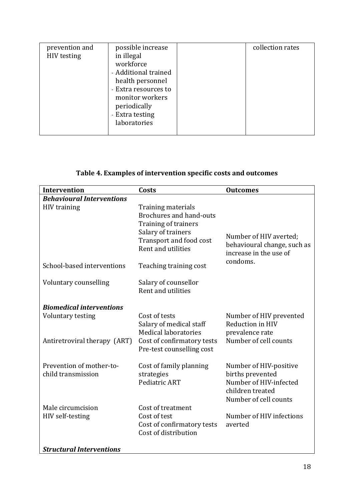## **Table 4. Examples of intervention specific costs and outcomes**

<span id="page-17-0"></span>

| <b>Intervention</b>                            | Costs                                                                                                                                               | <b>Outcomes</b>                                                                                                   |  |  |  |
|------------------------------------------------|-----------------------------------------------------------------------------------------------------------------------------------------------------|-------------------------------------------------------------------------------------------------------------------|--|--|--|
| <b>Behavioural Interventions</b>               |                                                                                                                                                     |                                                                                                                   |  |  |  |
| <b>HIV</b> training                            | Training materials<br><b>Brochures and hand-outs</b><br>Training of trainers<br>Salary of trainers<br>Transport and food cost<br>Rent and utilities | Number of HIV averted;<br>behavioural change, such as<br>increase in the use of                                   |  |  |  |
| School-based interventions                     | Teaching training cost                                                                                                                              | condoms.                                                                                                          |  |  |  |
| Voluntary counselling                          | Salary of counsellor<br>Rent and utilities                                                                                                          |                                                                                                                   |  |  |  |
| <b>Biomedical interventions</b>                |                                                                                                                                                     |                                                                                                                   |  |  |  |
| Voluntary testing                              | Cost of tests<br>Salary of medical staff<br>Medical laboratories                                                                                    | Number of HIV prevented<br>Reduction in HIV<br>prevalence rate                                                    |  |  |  |
| Antiretroviral therapy (ART)                   | Cost of confirmatory tests<br>Pre-test counselling cost                                                                                             | Number of cell counts                                                                                             |  |  |  |
| Prevention of mother-to-<br>child transmission | Cost of family planning<br>strategies<br>Pediatric ART                                                                                              | Number of HIV-positive<br>births prevented<br>Number of HIV-infected<br>children treated<br>Number of cell counts |  |  |  |
| Male circumcision                              | Cost of treatment                                                                                                                                   |                                                                                                                   |  |  |  |
| HIV self-testing                               | Cost of test                                                                                                                                        | Number of HIV infections                                                                                          |  |  |  |
|                                                | Cost of confirmatory tests<br>Cost of distribution                                                                                                  | averted                                                                                                           |  |  |  |
| <b>Structural Interventions</b>                |                                                                                                                                                     |                                                                                                                   |  |  |  |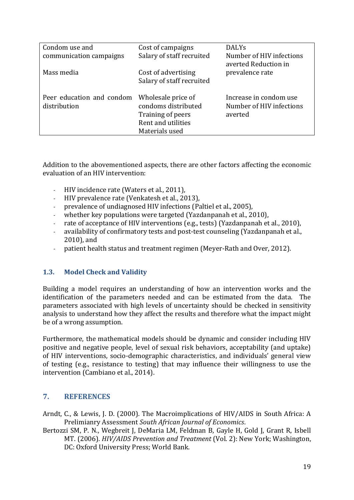| Condom use and                            | Cost of campaigns                                                                                      | <b>DALYs</b>                                                  |
|-------------------------------------------|--------------------------------------------------------------------------------------------------------|---------------------------------------------------------------|
| communication campaigns                   | Salary of staff recruited                                                                              | Number of HIV infections<br>averted Reduction in              |
| Mass media                                | Cost of advertising<br>Salary of staff recruited                                                       | prevalence rate                                               |
| Peer education and condom<br>distribution | Wholesale price of<br>condoms distributed<br>Training of peers<br>Rent and utilities<br>Materials used | Increase in condom use<br>Number of HIV infections<br>averted |

Addition to the abovementioned aspects, there are other factors affecting the economic evaluation of an HIV intervention:

- HIV incidence rate (Waters et al., 2011),
- HIV prevalence rate (Venkatesh et al., 2013),
- prevalence of undiagnosed HIV infections (Paltiel et al., 2005).
- whether key populations were targeted (Yazdanpanah et al., 2010).
- rate of acceptance of HIV interventions (e.g., tests) (Yazdanpanah et al., 2010),
- availability of confirmatory tests and post-test counseling (Yazdanpanah et al., 2010), and
- patient health status and treatment regimen (Meyer-Rath and Over, 2012).

## **1.3. Model Check and Validity**

Building a model requires an understanding of how an intervention works and the identification of the parameters needed and can be estimated from the data. The parameters associated with high levels of uncertainty should be checked in sensitivity analysis to understand how they affect the results and therefore what the impact might be of a wrong assumption.

Furthermore, the mathematical models should be dynamic and consider including HIV positive and negative people, level of sexual risk behaviors, acceptability (and uptake) of HIV interventions, socio-demographic characteristics, and individuals' general view of testing (e.g., resistance to testing) that may influence their willingness to use the intervention (Cambiano et al., 2014).

## **7. REFERENCES**

- <span id="page-18-0"></span>Arndt, C., & Lewis, J. D. (2000). The Macroimplications of HIV/AIDS in South Africa: A Prelimianry Assessment *South African Journal of Economics*.
- <span id="page-18-1"></span>Bertozzi SM, P. N., Wegbreit J, DeMaria LM, Feldman B, Gayle H, Gold J, Grant R, Isbell MT. (2006). *HIV/AIDS Prevention and Treatment* (Vol. 2): New York; Washington, DC: Oxford University Press; World Bank.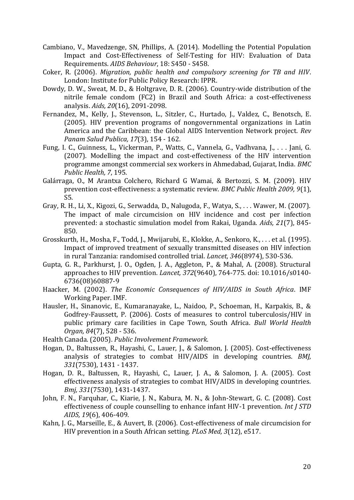- <span id="page-19-15"></span><span id="page-19-13"></span><span id="page-19-12"></span><span id="page-19-11"></span><span id="page-19-0"></span>Cambiano, V., Mavedzenge, SN, Phillips, A. (2014). Modelling the Potential Population Impact and Cost-Effectiveness of Self-Testing for HIV: Evaluation of Data Requirements. *AIDS Behaviour*, 18: S450 - S458.
- Coker, R. (2006). *Migration, public health and compulsory screening for TB and HIV*. London: Institute for Public Policy Research: IPPR.
- <span id="page-19-9"></span>Dowdy, D. W., Sweat, M. D., & Holtgrave, D. R. (2006). Country-wide distribution of the nitrile female condom (FC2) in Brazil and South Africa: a cost-effectiveness analysis. *Aids, 20*(16), 2091-2098.
- <span id="page-19-4"></span>Fernandez, M., Kelly, J., Stevenson, L., Sitzler, C., Hurtado, J., Valdez, C., Benotsch, E. (2005). HIV prevention programs of nongovernmental organizations in Latin America and the Caribbean: the Global AIDS Intervention Network project. *Rev Panam Salud Publica, 17*(3), 154 - 162.
- <span id="page-19-6"></span>Fung, I. C., Guinness, L., Vickerman, P., Watts, C., Vannela, G., Vadhvana, J., . . . Jani, G. (2007). Modelling the impact and cost-effectiveness of the HIV intervention programme amongst commercial sex workers in Ahmedabad, Gujarat, India. *BMC Public Health, 7*, 195.
- <span id="page-19-2"></span>Galárraga, O., M Arantxa Colchero, Richard G Wamai, & Bertozzi, S. M. (2009). HIV prevention cost-effectiveness: a systematic review. *BMC Public Health 2009, 9*(1), S5.
- <span id="page-19-7"></span>Gray, R. H., Li, X., Kigozi, G., Serwadda, D., Nalugoda, F., Watya, S., . . . Wawer, M. (2007). The impact of male circumcision on HIV incidence and cost per infection prevented: a stochastic simulation model from Rakai, Uganda. *Aids, 21*(7), 845- 850.
- <span id="page-19-14"></span><span id="page-19-8"></span>Grosskurth, H., Mosha, F., Todd, J., Mwijarubi, E., Klokke, A., Senkoro, K., . . . et al. (1995). Impact of improved treatment of sexually transmitted diseases on HIV infection in rural Tanzania: randomised controlled trial. *Lancet, 346*(8974), 530-536.
- <span id="page-19-10"></span><span id="page-19-3"></span>Gupta, G. R., Parkhurst, J. O., Ogden, J. A., Aggleton, P., & Mahal, A. (2008). Structural approaches to HIV prevention. *Lancet, 372*(9640), 764-775. doi: 10.1016/s0140- 6736(08)60887-9
- <span id="page-19-1"></span>Haacker, M. (2002). *The Economic Consequences of HIV/AIDS in South Africa*. IMF Working Paper. IMF.
- Hausler, H., Sinanovic, E., Kumaranayake, L., Naidoo, P., Schoeman, H., Karpakis, B., & Godfrey-Faussett, P. (2006). Costs of measures to control tuberculosis/HIV in public primary care facilities in Cape Town, South Africa. *Bull World Health Organ, 84*(7), 528 - 536.
- <span id="page-19-5"></span>Health Canada. (2005). *Public Involvement Framework*.
- Hogan, D., Baltussen, R., Hayashi, C., Lauer, J., & Salomon, J. (2005). Cost-effectiveness analysis of strategies to combat HIV/AIDS in developing countries. *BMJ, 331*(7530), 1431 - 1437.
- Hogan, D. R., Baltussen, R., Hayashi, C., Lauer, J. A., & Salomon, J. A. (2005). Cost effectiveness analysis of strategies to combat HIV/AIDS in developing countries. *Bmj, 331*(7530), 1431-1437.
- John, F. N., Farquhar, C., Kiarie, J. N., Kabura, M. N., & John-Stewart, G. C. (2008). Cost effectiveness of couple counselling to enhance infant HIV-1 prevention. *Int J STD AIDS, 19*(6), 406-409.
- Kahn, J. G., Marseille, E., & Auvert, B. (2006). Cost-effectiveness of male circumcision for HIV prevention in a South African setting. *PLoS Med, 3*(12), e517.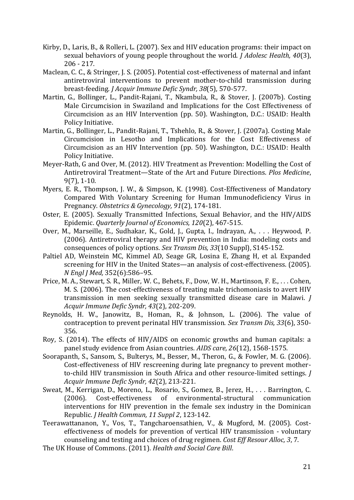- <span id="page-20-12"></span><span id="page-20-11"></span><span id="page-20-7"></span><span id="page-20-2"></span>Kirby, D., Laris, B., & Rolleri, L. (2007). Sex and HIV education programs: their impact on sexual behaviors of young people throughout the world. *J Adolesc Health, 40*(3), 206 - 217.
- <span id="page-20-10"></span><span id="page-20-4"></span>Maclean, C. C., & Stringer, J. S. (2005). Potential cost-effectiveness of maternal and infant antiretroviral interventions to prevent mother-to-child transmission during breast-feeding. *J Acquir Immune Defic Syndr, 38*(5), 570-577.
- <span id="page-20-9"></span>Martin, G., Bollinger, L., Pandit-Rajani, T., Nkambula, R., & Stover, J. (2007b). Costing Male Circumcision in Swaziland and Implications for the Cost Effectiveness of Circumcision as an HIV Intervention (pp. 50). Washington, D.C.: USAID: Health Policy Initiative.
- Martin, G., Bollinger, L., Pandit-Rajani, T., Tshehlo, R., & Stover, J. (2007a). Costing Male Circumcision in Lesotho and Implications for the Cost Effectiveness of Circumcision as an HIV Intervention (pp. 50). Washington, D.C.: USAID: Health Policy Initiative.
- <span id="page-20-5"></span>Meyer-Rath, G and Over, M. (2012). HIV Treatment as Prevention: Modelling the Cost of Antiretroviral Treatment—State of the Art and Future Directions. *Plos Medicine*, 9(7), 1-10.
- <span id="page-20-0"></span>Myers, E. R., Thompson, J. W., & Simpson, K. (1998). Cost-Effectiveness of Mandatory Compared With Voluntary Screening for Human Immunodeficiency Virus in Pregnancy. *Obstetrics & Gynecology, 91*(2), 174-181.
- <span id="page-20-6"></span>Oster, E. (2005). Sexually Transmitted Infections, Sexual Behavior, and the HIV/AIDS Epidemic. *Quarterly Journal of Economics, 120*(2), 467-515.
- <span id="page-20-13"></span>Over, M., Marseille, E., Sudhakar, K., Gold, J., Gupta, I., Indrayan, A., . . . Heywood, P. (2006). Antiretroviral therapy and HIV prevention in India: modeling costs and consequences of policy options. *Sex Transm Dis, 33*(10 Suppl), S145-152.
- Paltiel AD, Weinstein MC, Kimmel AD, Seage GR, Losina E, Zhang H, et al. Expanded screening for HIV in the United States—an analysis of cost-effectiveness. (2005). *N Engl J Med,* 352(6):586–95.
- <span id="page-20-8"></span>Price, M. A., Stewart, S. R., Miller, W. C., Behets, F., Dow, W. H., Martinson, F. E., . . . Cohen, M. S. (2006). The cost-effectiveness of treating male trichomoniasis to avert HIV transmission in men seeking sexually transmitted disease care in Malawi. *J Acquir Immune Defic Syndr, 43*(2), 202-209.
- Reynolds, H. W., Janowitz, B., Homan, R., & Johnson, L. (2006). The value of contraception to prevent perinatal HIV transmission. *Sex Transm Dis, 33*(6), 350- 356.
- <span id="page-20-1"></span>Roy, S. (2014). The effects of HIV/AIDS on economic growths and human capitals: a panel study evidence from Asian countries. *AIDS care, 26*(12), 1568-1575.
- Soorapanth, S., Sansom, S., Bulterys, M., Besser, M., Theron, G., & Fowler, M. G. (2006). Cost-effectiveness of HIV rescreening during late pregnancy to prevent motherto-child HIV transmission in South Africa and other resource-limited settings. *J Acquir Immune Defic Syndr, 42*(2), 213-221.
- Sweat, M., Kerrigan, D., Moreno, L., Rosario, S., Gomez, B., Jerez, H., . . . Barrington, C. (2006). Cost-effectiveness of environmental-structural communication interventions for HIV prevention in the female sex industry in the Dominican Republic. *J Health Commun, 11 Suppl 2*, 123-142.
- Teerawattananon, Y., Vos, T., Tangcharoensathien, V., & Mugford, M. (2005). Costeffectiveness of models for prevention of vertical HIV transmission - voluntary counseling and testing and choices of drug regimen. *Cost Eff Resour Alloc, 3*, 7.
- <span id="page-20-3"></span>The UK House of Commons. (2011). *Health and Social Care Bill*.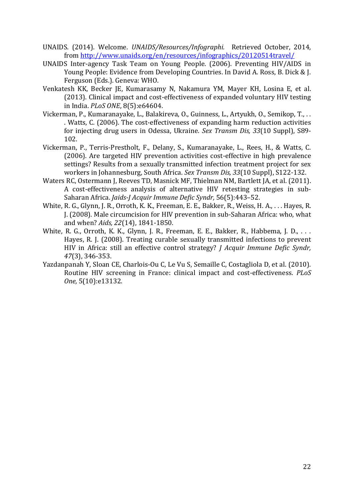- <span id="page-21-4"></span><span id="page-21-2"></span><span id="page-21-1"></span><span id="page-21-0"></span>UNAIDS. (2014). Welcome. *UNAIDS/Resources/Infographi.* Retrieved October, 2014, from<http://www.unaids.org/en/resources/infographics/20120514travel/>
- UNAIDS Inter-agency Task Team on Young People. (2006). Preventing HIV/AIDS in Young People: Evidence from Developing Countries. In David A. Ross, B. Dick & J. Ferguson (Eds.). Geneva: WHO.
- <span id="page-21-3"></span>Venkatesh KK, Becker JE, Kumarasamy N, Nakamura YM, Mayer KH, Losina E, et al. (2013). Clinical impact and cost-effectiveness of expanded voluntary HIV testing in India. *PLoS ONE*, 8(5):e64604.
- Vickerman, P., Kumaranayake, L., Balakireva, O., Guinness, L., Artyukh, O., Semikop, T., . . . Watts, C. (2006). The cost-effectiveness of expanding harm reduction activities for injecting drug users in Odessa, Ukraine. *Sex Transm Dis, 33*(10 Suppl), S89- 102.
- Vickerman, P., Terris-Prestholt, F., Delany, S., Kumaranayake, L., Rees, H., & Watts, C. (2006). Are targeted HIV prevention activities cost-effective in high prevalence settings? Results from a sexually transmitted infection treatment project for sex workers in Johannesburg, South Africa. *Sex Transm Dis, 33*(10 Suppl), S122-132.
- Waters RC, Ostermann J, Reeves TD, Masnick MF, Thielman NM, Bartlett JA, et al. (2011). A cost-effectiveness analysis of alternative HIV retesting strategies in sub-Saharan Africa. *Jaids-J Acquir Immune Defic Syndr,* 56(5):443–52.
- White, R. G., Glynn, J. R., Orroth, K. K., Freeman, E. E., Bakker, R., Weiss, H. A., . . . Hayes, R. J. (2008). Male circumcision for HIV prevention in sub-Saharan Africa: who, what and when? *Aids, 22*(14), 1841-1850.
- White, R. G., Orroth, K. K., Glynn, J. R., Freeman, E. E., Bakker, R., Habbema, J. D., ... Hayes, R. J. (2008). Treating curable sexually transmitted infections to prevent HIV in Africa: still an effective control strategy? *J Acquir Immune Defic Syndr, 47*(3), 346-353.
- Yazdanpanah Y, Sloan CE, Charlois-Ou C, Le Vu S, Semaille C, Costagliola D, et al. (2010). Routine HIV screening in France: clinical impact and cost-effectiveness. *PLoS One,* 5(10):e13132.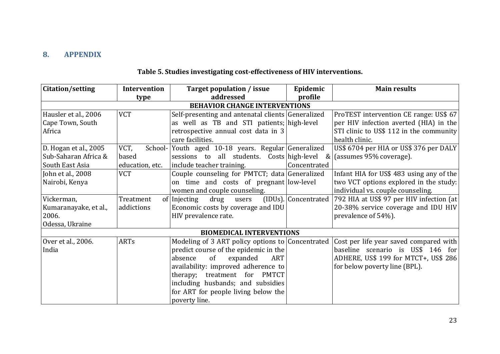## **8. APPENDIX**

<span id="page-22-0"></span>

| Citation/setting      | Intervention    | Target population / issue                         | Epidemic             | <b>Main results</b>                      |
|-----------------------|-----------------|---------------------------------------------------|----------------------|------------------------------------------|
|                       | type            | addressed                                         | profile              |                                          |
|                       |                 | <b>BEHAVIOR CHANGE INTERVENTIONS</b>              |                      |                                          |
| Hausler et al., 2006  | <b>VCT</b>      | Self-presenting and antenatal clients Generalized |                      | ProTEST intervention CE range: US\$ 67   |
| Cape Town, South      |                 | as well as TB and STI patients; high-level        |                      | per HIV infection averted (HIA) in the   |
| Africa                |                 | retrospective annual cost data in 3               |                      | STI clinic to US\$ 112 in the community  |
|                       |                 | care facilities.                                  |                      | health clinic.                           |
| D. Hogan et al., 2005 | VCT,<br>School- | Youth aged 10-18 years. Regular Generalized       |                      | US\$ 6704 per HIA or US\$ 376 per DALY   |
| Sub-Saharan Africa &  | based           | sessions to all students. Costs high-level        | &                    | (assumes 95% coverage).                  |
| South East Asia       | education, etc. | include teacher training.                         | Concentrated         |                                          |
| John et al., 2008     | <b>VCT</b>      | Couple counseling for PMTCT; data Generalized     |                      | Infant HIA for US\$ 483 using any of the |
| Nairobi, Kenya        |                 | on time and costs of pregnant low-level           |                      | two VCT options explored in the study:   |
|                       |                 | women and couple counseling.                      |                      | individual vs. couple counseling.        |
| Vickerman,            | Treatment       | drug users<br>of Injecting                        | (IDUs). Concentrated | 792 HIA at US\$ 97 per HIV infection (at |
| Kumaranayake, et al., | addictions      | Economic costs by coverage and IDU                |                      | 20-38% service coverage and IDU HIV      |
| 2006.                 |                 | HIV prevalence rate.                              |                      | prevalence of 54%).                      |
| Odessa, Ukraine       |                 |                                                   |                      |                                          |
|                       |                 | <b>BIOMEDICAL INTERVENTIONS</b>                   |                      |                                          |
| Over et al., 2006.    | <b>ARTs</b>     | Modeling of 3 ART policy options to Concentrated  |                      | Cost per life year saved compared with   |
| India                 |                 | predict course of the epidemic in the             |                      | baseline scenario is US\$ 146 for        |
|                       |                 | of<br>expanded<br>absence<br>ART                  |                      | ADHERE, US\$ 199 for MTCT+, US\$ 286     |
|                       |                 | availability: improved adherence to               |                      | for below poverty line (BPL).            |
|                       |                 | therapy; treatment for PMTCT                      |                      |                                          |
|                       |                 | including husbands; and subsidies                 |                      |                                          |
|                       |                 | for ART for people living below the               |                      |                                          |
|                       |                 | poverty line.                                     |                      |                                          |

# **Table 5. Studies investigating cost-effectiveness of HIV interventions.**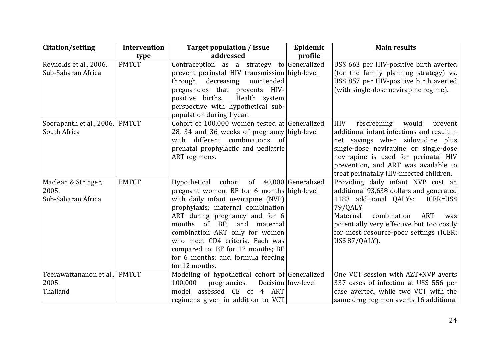| Citation/setting                                   | Intervention | <b>Target population / issue</b>                                                                                                                                                                                                                                                                                                                                                                    | Epidemic           | <b>Main results</b>                                                                                                                                                                                                                                                                                  |
|----------------------------------------------------|--------------|-----------------------------------------------------------------------------------------------------------------------------------------------------------------------------------------------------------------------------------------------------------------------------------------------------------------------------------------------------------------------------------------------------|--------------------|------------------------------------------------------------------------------------------------------------------------------------------------------------------------------------------------------------------------------------------------------------------------------------------------------|
|                                                    | type         | addressed                                                                                                                                                                                                                                                                                                                                                                                           | profile            |                                                                                                                                                                                                                                                                                                      |
| Reynolds et al., 2006.<br>Sub-Saharan Africa       | <b>PMTCT</b> | Contraception as a strategy to Generalized<br>prevent perinatal HIV transmission high-level<br>through decreasing<br>unintended<br>pregnancies that prevents HIV-<br>positive births.<br>Health system<br>perspective with hypothetical sub-<br>population during 1 year.                                                                                                                           |                    | US\$ 663 per HIV-positive birth averted<br>(for the family planning strategy) vs.<br>US\$ 857 per HIV-positive birth averted<br>(with single-dose nevirapine regime).                                                                                                                                |
| Soorapanth et al., 2006. PMTCT<br>South Africa     |              | Cohort of 100,000 women tested at Generalized<br>28, 34 and 36 weeks of pregnancy high-level<br>different combinations of<br>with<br>prenatal prophylactic and pediatric<br>ART regimens.                                                                                                                                                                                                           |                    | <b>HIV</b><br>would<br>rescreening<br>prevent<br>additional infant infections and result in<br>net savings when zidovudine plus<br>single-dose nevirapine or single-dose<br>nevirapine is used for perinatal HIV<br>prevention, and ART was available to<br>treat perinatally HIV-infected children. |
| Maclean & Stringer,<br>2005.<br>Sub-Saharan Africa | <b>PMTCT</b> | Hypothetical cohort of 40,000 Generalized<br>pregnant women. BF for 6 months high-level<br>with daily infant nevirapine (NVP)<br>prophylaxis; maternal combination<br>ART during pregnancy and for 6<br>months of BF; and maternal<br>combination ART only for women<br>who meet CD4 criteria. Each was<br>compared to: BF for 12 months; BF<br>for 6 months; and formula feeding<br>for 12 months. |                    | Providing daily infant NVP cost an<br>additional 93,638 dollars and generated<br>1183 additional QALYs: ICER=US\$<br>79/QALY<br>Maternal<br>combination<br><b>ART</b><br>was<br>potentially very effective but too costly<br>for most resource-poor settings (ICER:<br>US\$ 87/QALY).                |
| Teerawattananon et al., PMTCT<br>2005.<br>Thailand |              | Modeling of hypothetical cohort of Generalized<br>100,000<br>pregnancies.<br>assessed CE of 4 ART<br>model<br>regimens given in addition to VCT                                                                                                                                                                                                                                                     | Decision low-level | One VCT session with AZT+NVP averts<br>337 cases of infection at US\$ 556 per<br>case averted, while two VCT with the<br>same drug regimen averts 16 additional                                                                                                                                      |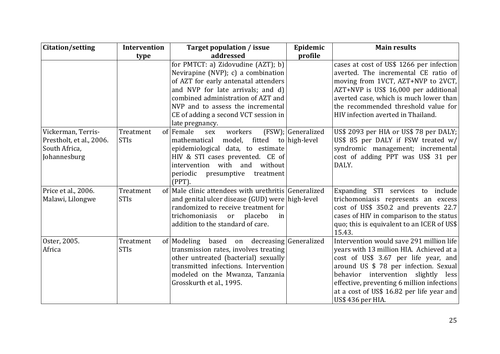| Citation/setting                                                                | <b>Intervention</b>      | Target population / issue                                                                                                                                                                                                                                                                      | Epidemic           | <b>Main results</b>                                                                                                                                                                                                                                                                                                          |
|---------------------------------------------------------------------------------|--------------------------|------------------------------------------------------------------------------------------------------------------------------------------------------------------------------------------------------------------------------------------------------------------------------------------------|--------------------|------------------------------------------------------------------------------------------------------------------------------------------------------------------------------------------------------------------------------------------------------------------------------------------------------------------------------|
|                                                                                 | type                     | addressed                                                                                                                                                                                                                                                                                      | profile            |                                                                                                                                                                                                                                                                                                                              |
|                                                                                 |                          | for PMTCT: a) Zidovudine $(AZT)$ ; b)<br>Nevirapine (NVP); c) a combination<br>of AZT for early antenatal attenders<br>and NVP for late arrivals; and d)<br>combined administration of AZT and<br>NVP and to assess the incremental<br>CE of adding a second VCT session in<br>late pregnancy. |                    | cases at cost of US\$ 1266 per infection<br>averted. The incremental CE ratio of<br>moving from 1VCT, AZT+NVP to 2VCT,<br>AZT+NVP is US\$ 16,000 per additional<br>averted case, which is much lower than<br>the recommended threshold value for<br>HIV infection averted in Thailand.                                       |
| Vickerman, Terris-<br>Prestholt, et al., 2006.<br>South Africa,<br>Johannesburg | Treatment<br><b>STIs</b> | of Female<br>sex<br>workers<br>fitted to high-level<br>mathematical<br>model,<br>epidemiological data, to estimate<br>HIV & STI cases prevented. CE of<br>intervention with and without<br>periodic presumptive<br>treatment<br>$(PPT)$ .                                                      | (FSW); Generalized | US\$ 2093 per HIA or US\$ 78 per DALY;<br>US\$ 85 per DALY if FSW treated $w/$<br>syndromic management; incremental<br>cost of adding PPT was US\$ 31 per<br>DALY.                                                                                                                                                           |
| Price et al., 2006.<br>Malawi, Lilongwe                                         | Treatment<br><b>STIs</b> | of Male clinic attendees with urethritis Generalized<br>and genital ulcer disease (GUD) were high-level<br>randomized to receive treatment for<br>trichomoniasis or placebo<br>in<br>addition to the standard of care.                                                                         |                    | Expanding STI services to include<br>trichomoniasis represents an excess<br>cost of US\$ 350.2 and prevents 22.7<br>cases of HIV in comparison to the status<br>quo; this is equivalent to an ICER of US\$<br>15.43.                                                                                                         |
| Oster, 2005.<br>Africa                                                          | Treatment<br><b>STIs</b> | of Modeling<br>based<br>on decreasing Generalized<br>transmission rates, involves treating<br>other untreated (bacterial) sexually<br>transmitted infections. Intervention<br>modeled on the Mwanza, Tanzania<br>Grosskurth et al., 1995.                                                      |                    | Intervention would save 291 million life<br>years with 13 million HIA. Achieved at a<br>cost of US\$ 3.67 per life year, and<br>around US \$ 78 per infection. Sexual<br>behavior intervention slightly less<br>effective, preventing 6 million infections<br>at a cost of US\$ 16.82 per life year and<br>US\$ 436 per HIA. |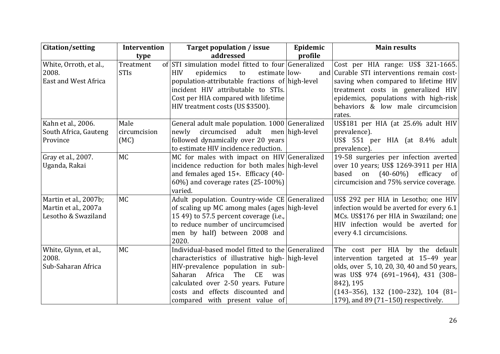| Citation/setting                                                     | Intervention             | Target population / issue                                                                                                                                                                                                                                                                             | Epidemic | <b>Main results</b>                                                                                                                                                                                                                                          |
|----------------------------------------------------------------------|--------------------------|-------------------------------------------------------------------------------------------------------------------------------------------------------------------------------------------------------------------------------------------------------------------------------------------------------|----------|--------------------------------------------------------------------------------------------------------------------------------------------------------------------------------------------------------------------------------------------------------------|
|                                                                      | type                     | addressed                                                                                                                                                                                                                                                                                             | profile  |                                                                                                                                                                                                                                                              |
| White, Orroth, et al.,<br>2008.<br>East and West Africa              | Treatment<br><b>STIs</b> | of STI simulation model fitted to four Generalized<br><b>HIV</b><br>epidemics<br>estimate low-<br>to<br>population-attributable fractions of high-level<br>incident HIV attributable to STIs.<br>Cost per HIA compared with lifetime<br>HIV treatment costs (US \$3500).                              | and      | Cost per HIA range: US\$ 321-1665.<br>Curable STI interventions remain cost-<br>saving when compared to lifetime HIV<br>treatment costs in generalized HIV<br>epidemics, populations with high-risk<br>behaviors & low male circumcision<br>rates.           |
| Kahn et al., 2006.                                                   | Male                     | General adult male population. 1000 Generalized                                                                                                                                                                                                                                                       |          | US\$181 per HIA (at 25.6% adult HIV                                                                                                                                                                                                                          |
| South Africa, Gauteng<br>Province                                    | circumcision<br>(MC)     | newly circumcised adult men high-level<br>followed dynamically over 20 years<br>to estimate HIV incidence reduction.                                                                                                                                                                                  |          | prevalence).<br>US\$ 551 per HIA (at $8.4\%$ adult<br>prevalence).                                                                                                                                                                                           |
| Gray et al., 2007.<br>Uganda, Rakai                                  | <b>MC</b>                | MC for males with impact on HIV Generalized<br>incidence reduction for both males high-level<br>and females aged 15+. Efficacy (40-<br>60%) and coverage rates $(25-100\%)$<br>varied.                                                                                                                |          | 19-58 surgeries per infection averted<br>over 10 years; US\$ 1269-3911 per HIA<br>based<br>on $(40-60\%)$ efficacy of<br>circumcision and 75% service coverage.                                                                                              |
| Martin et al., 2007b;<br>Martin et al., 2007a<br>Lesotho & Swaziland | <b>MC</b>                | Adult population. Country-wide CE Generalized<br>of scaling up MC among males (ages high-level<br>15 49) to 57.5 percent coverage (i.e.,<br>to reduce number of uncircumcised<br>men by half) between 2008 and<br>2020.                                                                               |          | US\$ 292 per HIA in Lesotho; one HIV<br>infection would be averted for every 6.1<br>MCs. US\$176 per HIA in Swaziland; one<br>HIV infection would be averted for<br>every 4.1 circumcisions.                                                                 |
| White, Glynn, et al.,<br>2008.<br>Sub-Saharan Africa                 | <b>MC</b>                | Individual-based model fitted to the Generalized<br>characteristics of illustrative high- high-level<br>HIV-prevalence population in sub-<br>Saharan<br>Africa<br>The<br><b>CE</b><br>was<br>calculated over 2-50 years. Future<br>costs and effects discounted and<br>compared with present value of |          | The cost per HIA by the default<br>intervention targeted at 15–49 year<br>olds, over 5, 10, 20, 30, 40 and 50 years,<br>was US\$ 974 (691-1964), 431 (308-<br>842), 195<br>$(143-356)$ , 132 $(100-232)$ , 104 $(81-$<br>179), and 89 (71–150) respectively. |